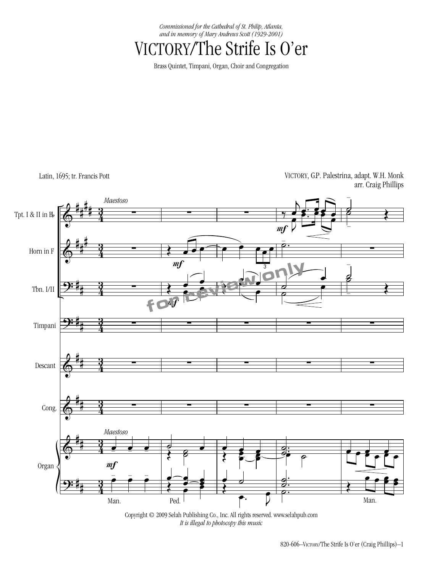*Commissioned for the Cathedral of St. Philip, Atlanta, and in memory of Mary Andrews Scott (1929-2001)*

## VICTORY/The Strife Is O'er

Brass Quintet, Timpani, Organ, Choir and Congregation

Latin, 1695; tr. Francis Pott

VICTORY, GP. Palestrina, adapt. W.H. Monk arr. Craig Phillips



Copyright © 2009 Selah Publishing Co., Inc. All rights reserved. www.selahpub.com *It is illegal to photocopy this music*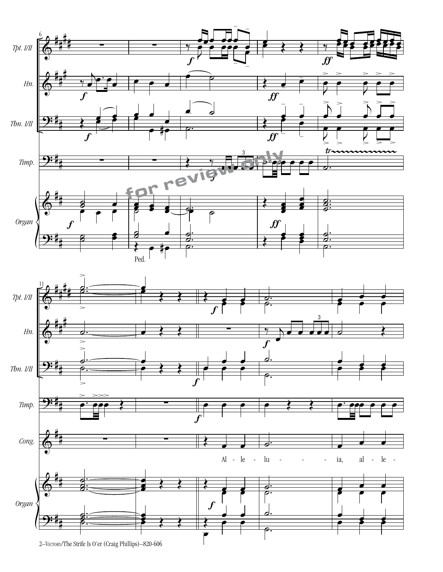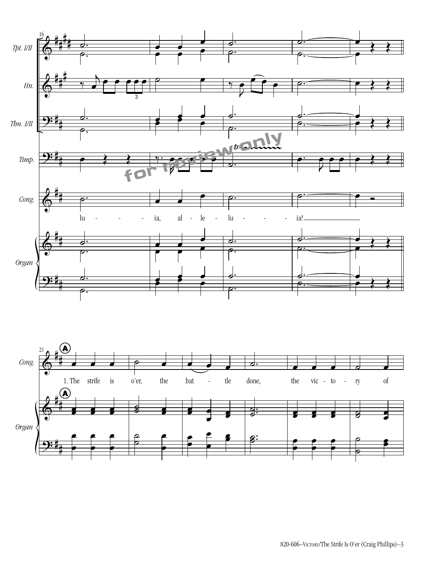

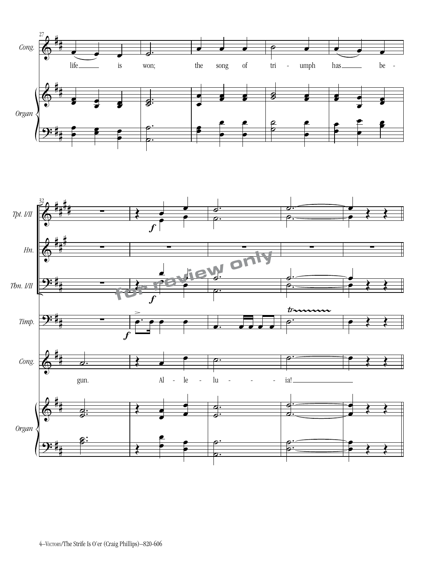